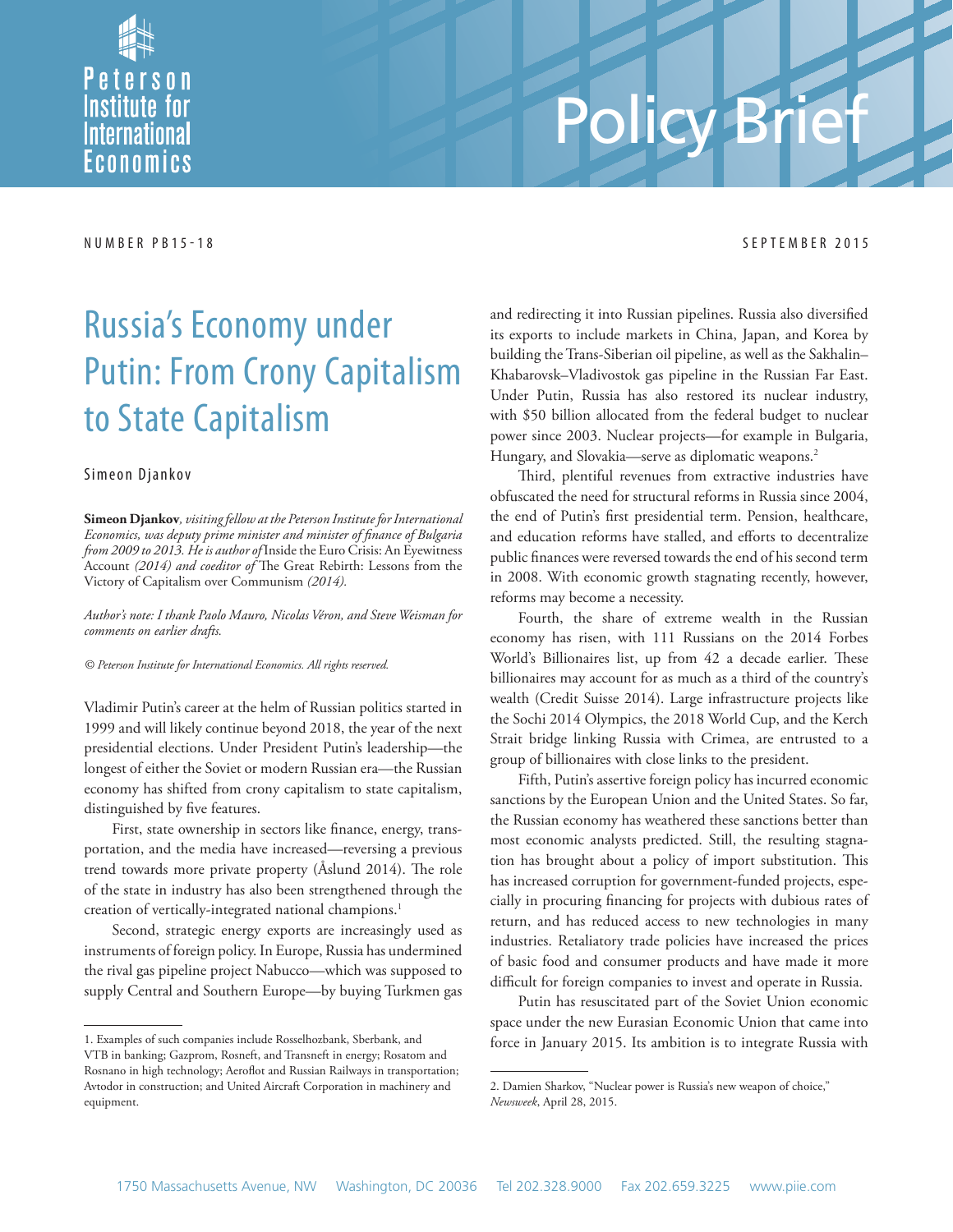

# Policy B

#### NUMBER PB15-18 SEPTEMBER 2015

## Russia's Economy under Putin: From Crony Capitalism to State Capitalism

#### Simeon Djankov

**Simeon Djankov***, visiting fellow at the Peterson Institute for International Economics, was deputy prime minister and minister of finance of Bulgaria from 2009 to 2013. He is author of* Inside the Euro Crisis: An Eyewitness Account (2014) and coeditor of The Great Rebirth: Lessons from the Victory of Capitalism over Communism *(2014).* 

*Author's note: I thank Paolo Mauro, Nicolas Véron, and Steve Weisman for comments on earlier drafts.*

*© Peterson Institute for International Economics. All rights reserved.*

Vladimir Putin's career at the helm of Russian politics started in 1999 and will likely continue beyond 2018, the year of the next presidential elections. Under President Putin's leadership—the longest of either the Soviet or modern Russian era—the Russian economy has shifted from crony capitalism to state capitalism, distinguished by five features.

First, state ownership in sectors like finance, energy, transportation, and the media have increased—reversing a previous trend towards more private property (Åslund 2014). The role of the state in industry has also been strengthened through the creation of vertically-integrated national champions.<sup>1</sup>

Second, strategic energy exports are increasingly used as instruments of foreign policy. In Europe, Russia has undermined the rival gas pipeline project Nabucco—which was supposed to supply Central and Southern Europe—by buying Turkmen gas and redirecting it into Russian pipelines. Russia also diversified its exports to include markets in China, Japan, and Korea by building the Trans-Siberian oil pipeline, as well as the Sakhalin– Khabarovsk–Vladivostok gas pipeline in the Russian Far East. Under Putin, Russia has also restored its nuclear industry, with \$50 billion allocated from the federal budget to nuclear power since 2003. Nuclear projects—for example in Bulgaria, Hungary, and Slovakia—serve as diplomatic weapons.<sup>2</sup>

Third, plentiful revenues from extractive industries have obfuscated the need for structural reforms in Russia since 2004, the end of Putin's first presidential term. Pension, healthcare, and education reforms have stalled, and efforts to decentralize public finances were reversed towards the end of his second term in 2008. With economic growth stagnating recently, however, reforms may become a necessity.

Fourth, the share of extreme wealth in the Russian economy has risen, with 111 Russians on the 2014 Forbes World's Billionaires list, up from 42 a decade earlier. These billionaires may account for as much as a third of the country's wealth (Credit Suisse 2014). Large infrastructure projects like the Sochi 2014 Olympics, the 2018 World Cup, and the Kerch Strait bridge linking Russia with Crimea, are entrusted to a group of billionaires with close links to the president.

Fifth, Putin's assertive foreign policy has incurred economic sanctions by the European Union and the United States. So far, the Russian economy has weathered these sanctions better than most economic analysts predicted. Still, the resulting stagnation has brought about a policy of import substitution. This has increased corruption for government-funded projects, especially in procuring financing for projects with dubious rates of return, and has reduced access to new technologies in many industries. Retaliatory trade policies have increased the prices of basic food and consumer products and have made it more difficult for foreign companies to invest and operate in Russia.

Putin has resuscitated part of the Soviet Union economic space under the new Eurasian Economic Union that came into force in January 2015. Its ambition is to integrate Russia with

<sup>1.</sup> Examples of such companies include Rosselhozbank, Sberbank, and VTB in banking; Gazprom, Rosneft, and Transneft in energy; Rosatom and Rosnano in high technology; Aeroflot and Russian Railways in transportation; Avtodor in construction; and United Aircraft Corporation in machinery and equipment.

<sup>2.</sup> Damien Sharkov, "Nuclear power is Russia's new weapon of choice," *Newsweek*, April 28, 2015.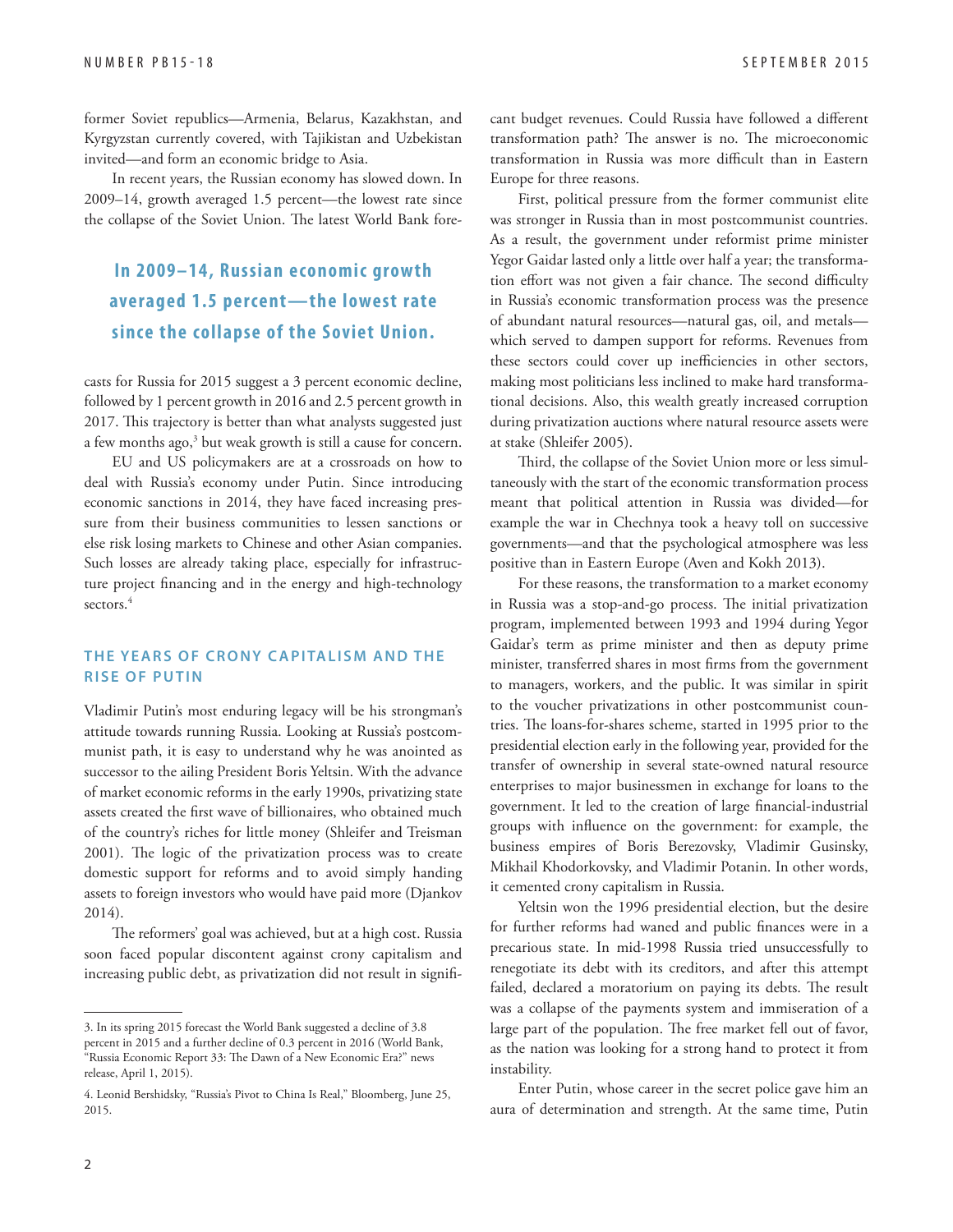former Soviet republics—Armenia, Belarus, Kazakhstan, and Kyrgyzstan currently covered, with Tajikistan and Uzbekistan invited—and form an economic bridge to Asia.

In recent years, the Russian economy has slowed down. In 2009–14, growth averaged 1.5 percent—the lowest rate since the collapse of the Soviet Union. The latest World Bank fore-

#### **In 2009–14, Russian economic growth averaged 1.5 percent—the lowest rate since the collapse of the S oviet Union.**

casts for Russia for 2015 suggest a 3 percent economic decline, followed by 1 percent growth in 2016 and 2.5 percent growth in 2017. This trajectory is better than what analysts suggested just a few months ago,<sup>3</sup> but weak growth is still a cause for concern.

EU and US policymakers are at a crossroads on how to deal with Russia's economy under Putin. Since introducing economic sanctions in 2014, they have faced increasing pressure from their business communities to lessen sanctions or else risk losing markets to Chinese and other Asian companies. Such losses are already taking place, especially for infrastructure project financing and in the energy and high-technology sectors.<sup>4</sup>

#### **THE YEARS OF CRONY CAPITALISM AND THE RISE OF PUTIN**

Vladimir Putin's most enduring legacy will be his strongman's attitude towards running Russia. Looking at Russia's postcommunist path, it is easy to understand why he was anointed as successor to the ailing President Boris Yeltsin. With the advance of market economic reforms in the early 1990s, privatizing state assets created the first wave of billionaires, who obtained much of the country's riches for little money (Shleifer and Treisman 2001). The logic of the privatization process was to create domestic support for reforms and to avoid simply handing assets to foreign investors who would have paid more (Djankov 2014).

The reformers' goal was achieved, but at a high cost. Russia soon faced popular discontent against crony capitalism and increasing public debt, as privatization did not result in significant budget revenues. Could Russia have followed a different transformation path? The answer is no. The microeconomic transformation in Russia was more difficult than in Eastern Europe for three reasons.

First, political pressure from the former communist elite was stronger in Russia than in most postcommunist countries. As a result, the government under reformist prime minister Yegor Gaidar lasted only a little over half a year; the transformation effort was not given a fair chance. The second difficulty in Russia's economic transformation process was the presence of abundant natural resources—natural gas, oil, and metals which served to dampen support for reforms. Revenues from these sectors could cover up inefficiencies in other sectors, making most politicians less inclined to make hard transformational decisions. Also, this wealth greatly increased corruption during privatization auctions where natural resource assets were at stake (Shleifer 2005).

Third, the collapse of the Soviet Union more or less simultaneously with the start of the economic transformation process meant that political attention in Russia was divided—for example the war in Chechnya took a heavy toll on successive governments—and that the psychological atmosphere was less positive than in Eastern Europe (Aven and Kokh 2013).

For these reasons, the transformation to a market economy in Russia was a stop-and-go process. The initial privatization program, implemented between 1993 and 1994 during Yegor Gaidar's term as prime minister and then as deputy prime minister, transferred shares in most firms from the government to managers, workers, and the public. It was similar in spirit to the voucher privatizations in other postcommunist countries. The loans-for-shares scheme, started in 1995 prior to the presidential election early in the following year, provided for the transfer of ownership in several state-owned natural resource enterprises to major businessmen in exchange for loans to the government. It led to the creation of large financial-industrial groups with influence on the government: for example, the business empires of Boris Berezovsky, Vladimir Gusinsky, Mikhail Khodorkovsky, and Vladimir Potanin. In other words, it cemented crony capitalism in Russia.

Yeltsin won the 1996 presidential election, but the desire for further reforms had waned and public finances were in a precarious state. In mid-1998 Russia tried unsuccessfully to renegotiate its debt with its creditors, and after this attempt failed, declared a moratorium on paying its debts. The result was a collapse of the payments system and immiseration of a large part of the population. The free market fell out of favor, as the nation was looking for a strong hand to protect it from instability.

Enter Putin, whose career in the secret police gave him an aura of determination and strength. At the same time, Putin

<sup>3.</sup> In its spring 2015 forecast the World Bank suggested a decline of 3.8 percent in 2015 and a further decline of 0.3 percent in 2016 (World Bank, "Russia Economic Report 33: The Dawn of a New Economic Era?" news release, April 1, 2015).

<sup>4.</sup> Leonid Bershidsky, "Russia's Pivot to China Is Real," Bloomberg, June 25, 2015.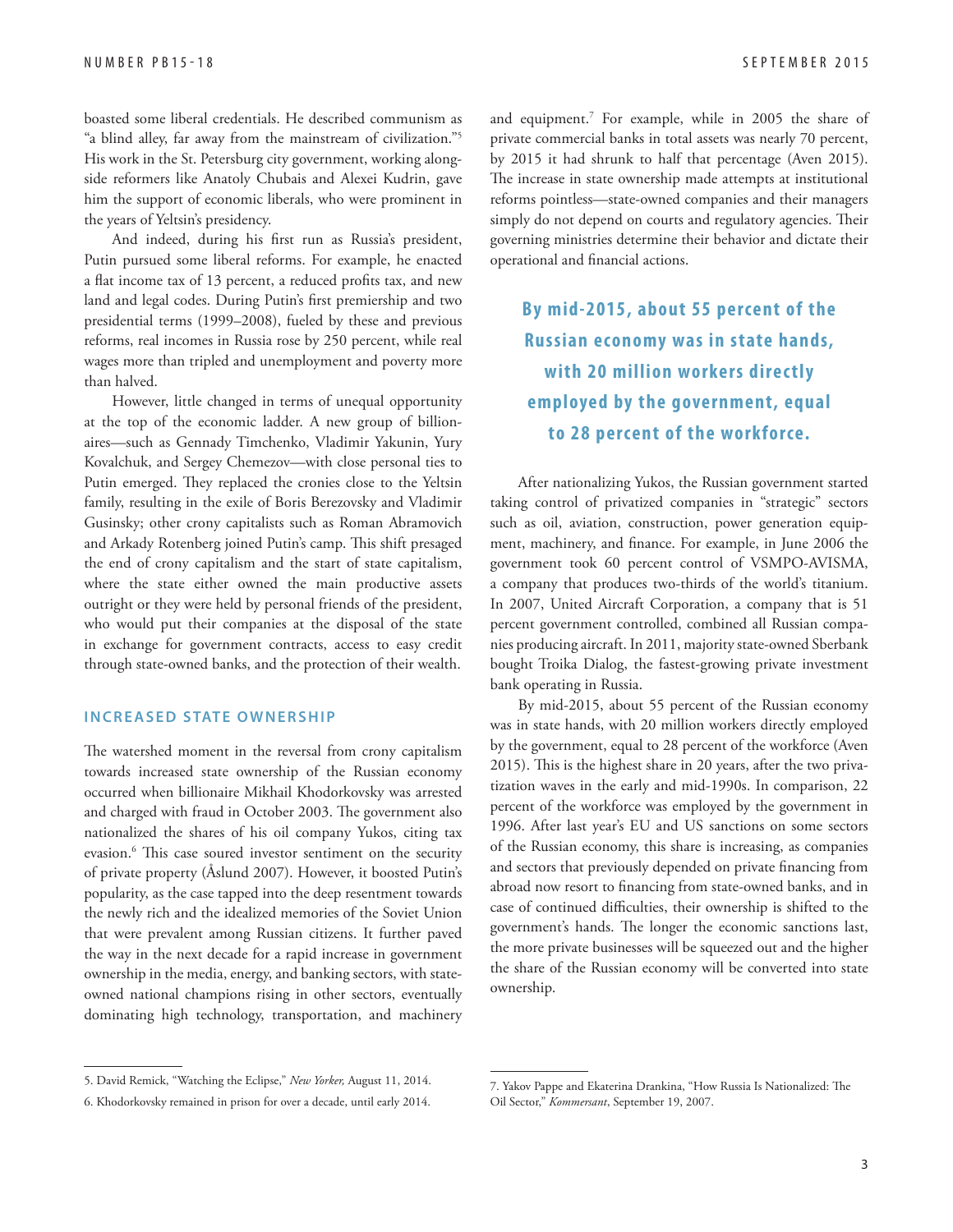boasted some liberal credentials. He described communism as "a blind alley, far away from the mainstream of civilization."5 His work in the St. Petersburg city government, working alongside reformers like Anatoly Chubais and Alexei Kudrin, gave him the support of economic liberals, who were prominent in the years of Yeltsin's presidency.

And indeed, during his first run as Russia's president, Putin pursued some liberal reforms. For example, he enacted a flat income tax of 13 percent, a reduced profits tax, and new land and legal codes. During Putin's first premiership and two presidential terms (1999–2008), fueled by these and previous reforms, real incomes in Russia rose by 250 percent, while real wages more than tripled and unemployment and poverty more than halved.

However, little changed in terms of unequal opportunity at the top of the economic ladder. A new group of billionaires—such as Gennady Timchenko, Vladimir Yakunin, Yury Kovalchuk, and Sergey Chemezov—with close personal ties to Putin emerged. They replaced the cronies close to the Yeltsin family, resulting in the exile of Boris Berezovsky and Vladimir Gusinsky; other crony capitalists such as Roman Abramovich and Arkady Rotenberg joined Putin's camp. This shift presaged the end of crony capitalism and the start of state capitalism, where the state either owned the main productive assets outright or they were held by personal friends of the president, who would put their companies at the disposal of the state in exchange for government contracts, access to easy credit through state-owned banks, and the protection of their wealth.

#### **INCREASED STATE OWNERSHIP**

The watershed moment in the reversal from crony capitalism towards increased state ownership of the Russian economy occurred when billionaire Mikhail Khodorkovsky was arrested and charged with fraud in October 2003. The government also nationalized the shares of his oil company Yukos, citing tax evasion.<sup>6</sup> This case soured investor sentiment on the security of private property (Åslund 2007). However, it boosted Putin's popularity, as the case tapped into the deep resentment towards the newly rich and the idealized memories of the Soviet Union that were prevalent among Russian citizens. It further paved the way in the next decade for a rapid increase in government ownership in the media, energy, and banking sectors, with stateowned national champions rising in other sectors, eventually dominating high technology, transportation, and machinery

and equipment.7 For example, while in 2005 the share of private commercial banks in total assets was nearly 70 percent, by 2015 it had shrunk to half that percentage (Aven 2015). The increase in state ownership made attempts at institutional reforms pointless—state-owned companies and their managers simply do not depend on courts and regulatory agencies. Their governing ministries determine their behavior and dictate their operational and financial actions.

**By mid-2015, about 55 percent of the Russian economy was in state hands, with 20 million workers directly employed by the government, equal to 28 percent of the workforce.**

After nationalizing Yukos, the Russian government started taking control of privatized companies in "strategic" sectors such as oil, aviation, construction, power generation equipment, machinery, and finance. For example, in June 2006 the government took 60 percent control of VSMPO-AVISMA, a company that produces two-thirds of the world's titanium. In 2007, United Aircraft Corporation, a company that is 51 percent government controlled, combined all Russian companies producing aircraft. In 2011, majority state-owned Sberbank bought Troika Dialog, the fastest-growing private investment bank operating in Russia.

By mid-2015, about 55 percent of the Russian economy was in state hands, with 20 million workers directly employed by the government, equal to 28 percent of the workforce (Aven 2015). This is the highest share in 20 years, after the two privatization waves in the early and mid-1990s. In comparison, 22 percent of the workforce was employed by the government in 1996. After last year's EU and US sanctions on some sectors of the Russian economy, this share is increasing, as companies and sectors that previously depended on private financing from abroad now resort to financing from state-owned banks, and in case of continued difficulties, their ownership is shifted to the government's hands. The longer the economic sanctions last, the more private businesses will be squeezed out and the higher the share of the Russian economy will be converted into state ownership.

<sup>5.</sup> David Remick, "Watching the Eclipse," *New Yorker,* August 11, 2014.

<sup>6.</sup> Khodorkovsky remained in prison for over a decade, until early 2014.

<sup>7.</sup> Yakov Pappe and Ekaterina Drankina, "How Russia Is Nationalized: The Oil Sector," *Kommersant*, September 19, 2007.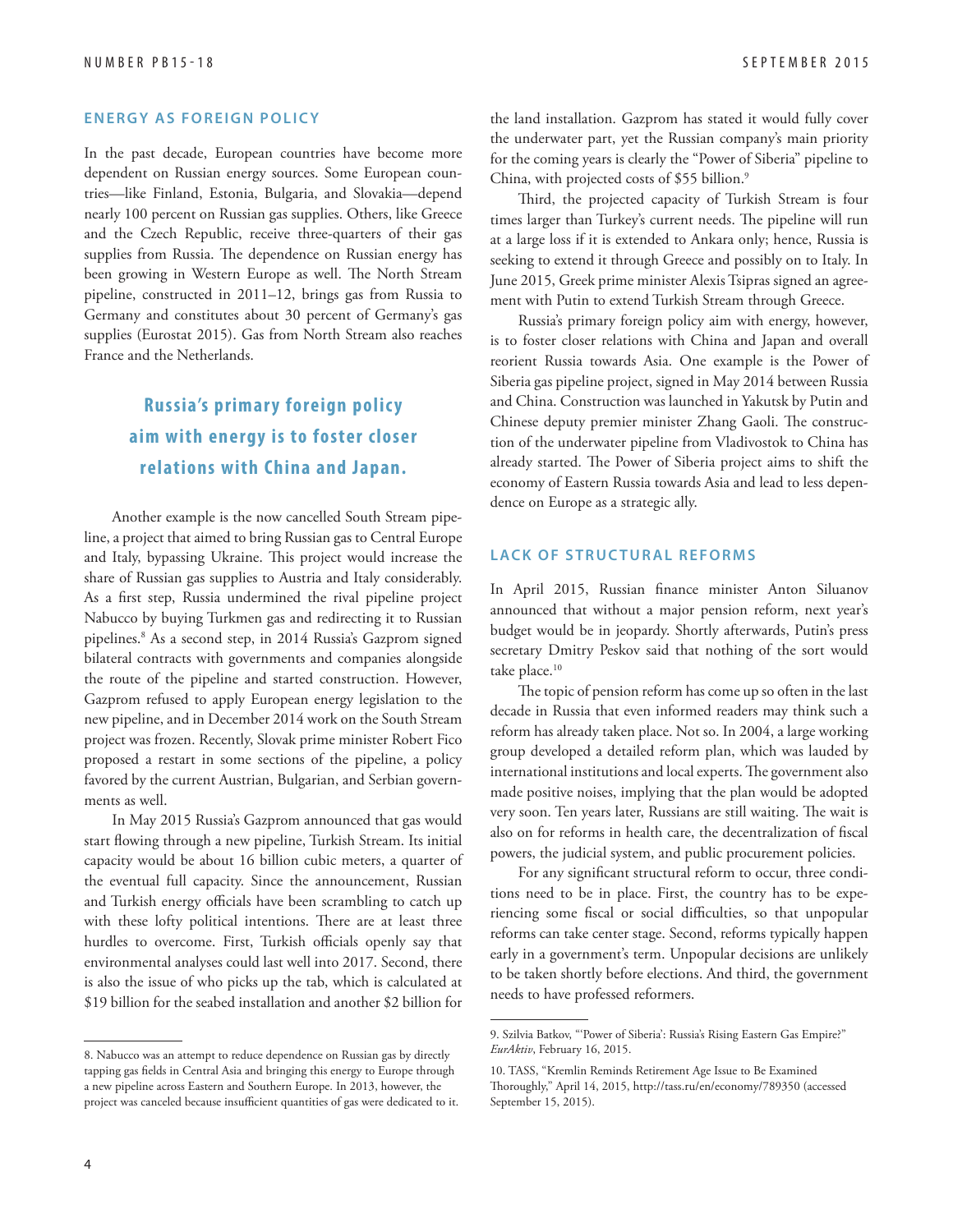#### **ENERGY AS FOREIGN POLICY**

In the past decade, European countries have become more dependent on Russian energy sources. Some European countries—like Finland, Estonia, Bulgaria, and Slovakia—depend nearly 100 percent on Russian gas supplies. Others, like Greece and the Czech Republic, receive three-quarters of their gas supplies from Russia. The dependence on Russian energy has been growing in Western Europe as well. The North Stream pipeline, constructed in 2011–12, brings gas from Russia to Germany and constitutes about 30 percent of Germany's gas supplies (Eurostat 2015). Gas from North Stream also reaches France and the Netherlands.

### **Russia's primary foreign policy aim with energy is to foster closer relations with China and Japan.**

Another example is the now cancelled South Stream pipeline, a project that aimed to bring Russian gas to Central Europe and Italy, bypassing Ukraine. This project would increase the share of Russian gas supplies to Austria and Italy considerably. As a first step, Russia undermined the rival pipeline project Nabucco by buying Turkmen gas and redirecting it to Russian pipelines.8 As a second step, in 2014 Russia's Gazprom signed bilateral contracts with governments and companies alongside the route of the pipeline and started construction. However, Gazprom refused to apply European energy legislation to the new pipeline, and in December 2014 work on the South Stream project was frozen. Recently, Slovak prime minister Robert Fico proposed a restart in some sections of the pipeline, a policy favored by the current Austrian, Bulgarian, and Serbian governments as well.

In May 2015 Russia's Gazprom announced that gas would start flowing through a new pipeline, Turkish Stream. Its initial capacity would be about 16 billion cubic meters, a quarter of the eventual full capacity. Since the announcement, Russian and Turkish energy officials have been scrambling to catch up with these lofty political intentions. There are at least three hurdles to overcome. First, Turkish officials openly say that environmental analyses could last well into 2017. Second, there is also the issue of who picks up the tab, which is calculated at \$19 billion for the seabed installation and another \$2 billion for

the land installation. Gazprom has stated it would fully cover the underwater part, yet the Russian company's main priority for the coming years is clearly the "Power of Siberia" pipeline to China, with projected costs of \$55 billion.<sup>9</sup>

Third, the projected capacity of Turkish Stream is four times larger than Turkey's current needs. The pipeline will run at a large loss if it is extended to Ankara only; hence, Russia is seeking to extend it through Greece and possibly on to Italy. In June 2015, Greek prime minister Alexis Tsipras signed an agreement with Putin to extend Turkish Stream through Greece.

Russia's primary foreign policy aim with energy, however, is to foster closer relations with China and Japan and overall reorient Russia towards Asia. One example is the Power of Siberia gas pipeline project, signed in May 2014 between Russia and China. Construction was launched in Yakutsk by Putin and Chinese deputy premier minister Zhang Gaoli. The construction of the underwater pipeline from Vladivostok to China has already started. The Power of Siberia project aims to shift the economy of Eastern Russia towards Asia and lead to less dependence on Europe as a strategic ally.

#### **LACK OF STRUCTURAL REFORMS**

In April 2015, Russian finance minister Anton Siluanov announced that without a major pension reform, next year's budget would be in jeopardy. Shortly afterwards, Putin's press secretary Dmitry Peskov said that nothing of the sort would take place.<sup>10</sup>

The topic of pension reform has come up so often in the last decade in Russia that even informed readers may think such a reform has already taken place. Not so. In 2004, a large working group developed a detailed reform plan, which was lauded by international institutions and local experts. The government also made positive noises, implying that the plan would be adopted very soon. Ten years later, Russians are still waiting. The wait is also on for reforms in health care, the decentralization of fiscal powers, the judicial system, and public procurement policies.

For any significant structural reform to occur, three conditions need to be in place. First, the country has to be experiencing some fiscal or social difficulties, so that unpopular reforms can take center stage. Second, reforms typically happen early in a government's term. Unpopular decisions are unlikely to be taken shortly before elections. And third, the government needs to have professed reformers.

<sup>8.</sup> Nabucco was an attempt to reduce dependence on Russian gas by directly tapping gas fields in Central Asia and bringing this energy to Europe through a new pipeline across Eastern and Southern Europe. In 2013, however, the project was canceled because insufficient quantities of gas were dedicated to it.

<sup>9.</sup> Szilvia Batkov, "'Power of Siberia': Russia's Rising Eastern Gas Empire?" *EurAktiv*, February 16, 2015.

<sup>10.</sup> TASS, "Kremlin Reminds Retirement Age Issue to Be Examined Thoroughly," April 14, 2015, http://tass.ru/en/economy/789350 (accessed September 15, 2015).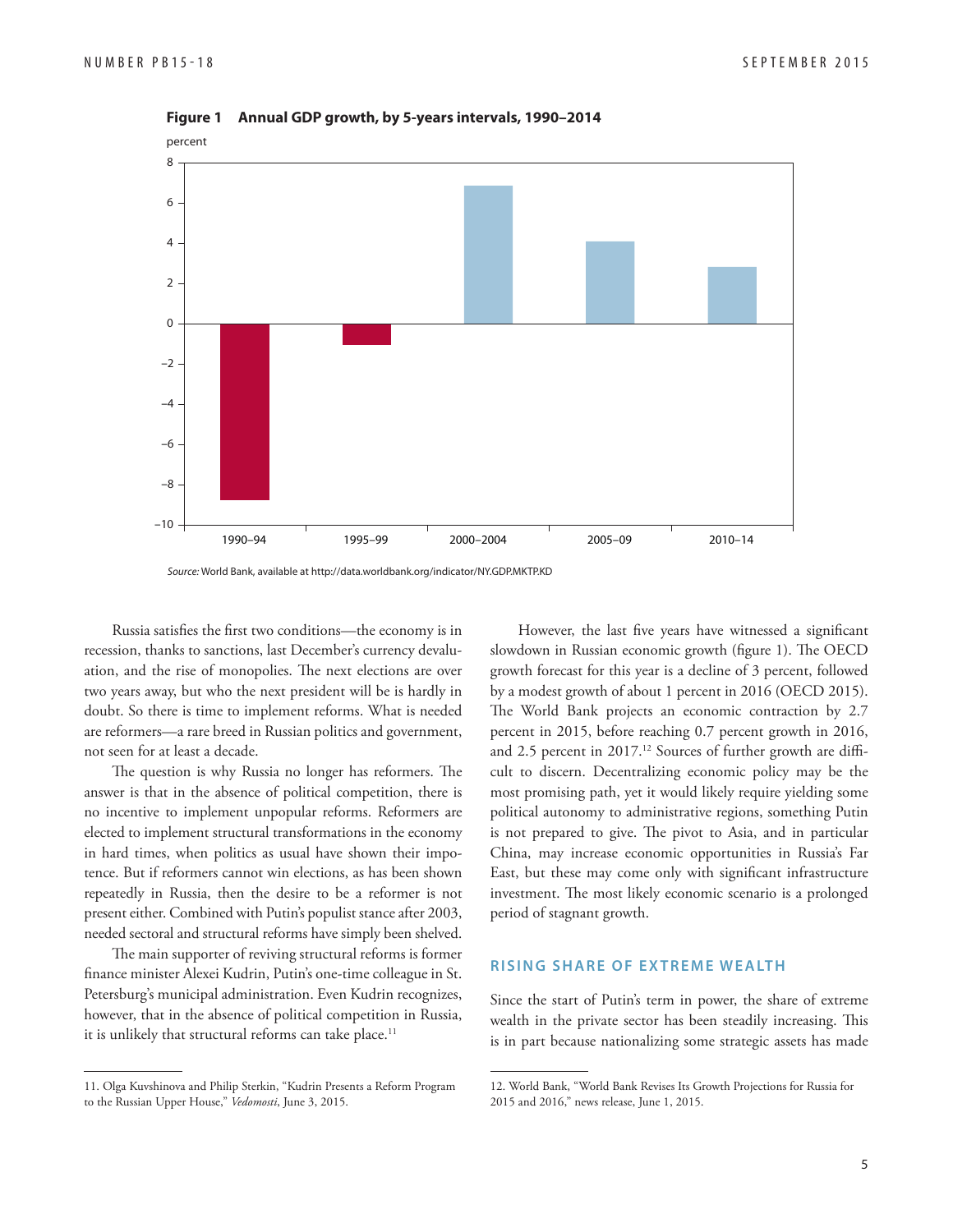

**Figure 1 Annual GDP growth, by 5-years intervals, 1990–2014**

Source: World Bank, available at http://data.worldbank.org/indicator/NY.GDP.MKTP.KD

Russia satisfies the first two conditions—the economy is in recession, thanks to sanctions, last December's currency devaluation, and the rise of monopolies. The next elections are over two years away, but who the next president will be is hardly in doubt. So there is time to implement reforms. What is needed are reformers—a rare breed in Russian politics and government, not seen for at least a decade.

The question is why Russia no longer has reformers. The answer is that in the absence of political competition, there is no incentive to implement unpopular reforms. Reformers are elected to implement structural transformations in the economy in hard times, when politics as usual have shown their impotence. But if reformers cannot win elections, as has been shown repeatedly in Russia, then the desire to be a reformer is not present either. Combined with Putin's populist stance after 2003, needed sectoral and structural reforms have simply been shelved.

The main supporter of reviving structural reforms is former finance minister Alexei Kudrin, Putin's one-time colleague in St. Petersburg's municipal administration. Even Kudrin recognizes, however, that in the absence of political competition in Russia, it is unlikely that structural reforms can take place.<sup>11</sup>

However, the last five years have witnessed a significant slowdown in Russian economic growth (figure 1). The OECD growth forecast for this year is a decline of 3 percent, followed by a modest growth of about 1 percent in 2016 (OECD 2015). The World Bank projects an economic contraction by 2.7 percent in 2015, before reaching 0.7 percent growth in 2016, and 2.5 percent in  $2017$ .<sup>12</sup> Sources of further growth are difficult to discern. Decentralizing economic policy may be the most promising path, yet it would likely require yielding some political autonomy to administrative regions, something Putin is not prepared to give. The pivot to Asia, and in particular China, may increase economic opportunities in Russia's Far East, but these may come only with significant infrastructure investment. The most likely economic scenario is a prolonged period of stagnant growth.

#### **RISING SHARE OF EX TREME WEALTH**

Since the start of Putin's term in power, the share of extreme wealth in the private sector has been steadily increasing. This is in part because nationalizing some strategic assets has made

<sup>11.</sup> Olga Kuvshinova and Philip Sterkin, "Kudrin Presents a Reform Program to the Russian Upper House," *Vedomosti*, June 3, 2015.

<sup>12.</sup> World Bank, "World Bank Revises Its Growth Projections for Russia for 2015 and 2016," news release, June 1, 2015.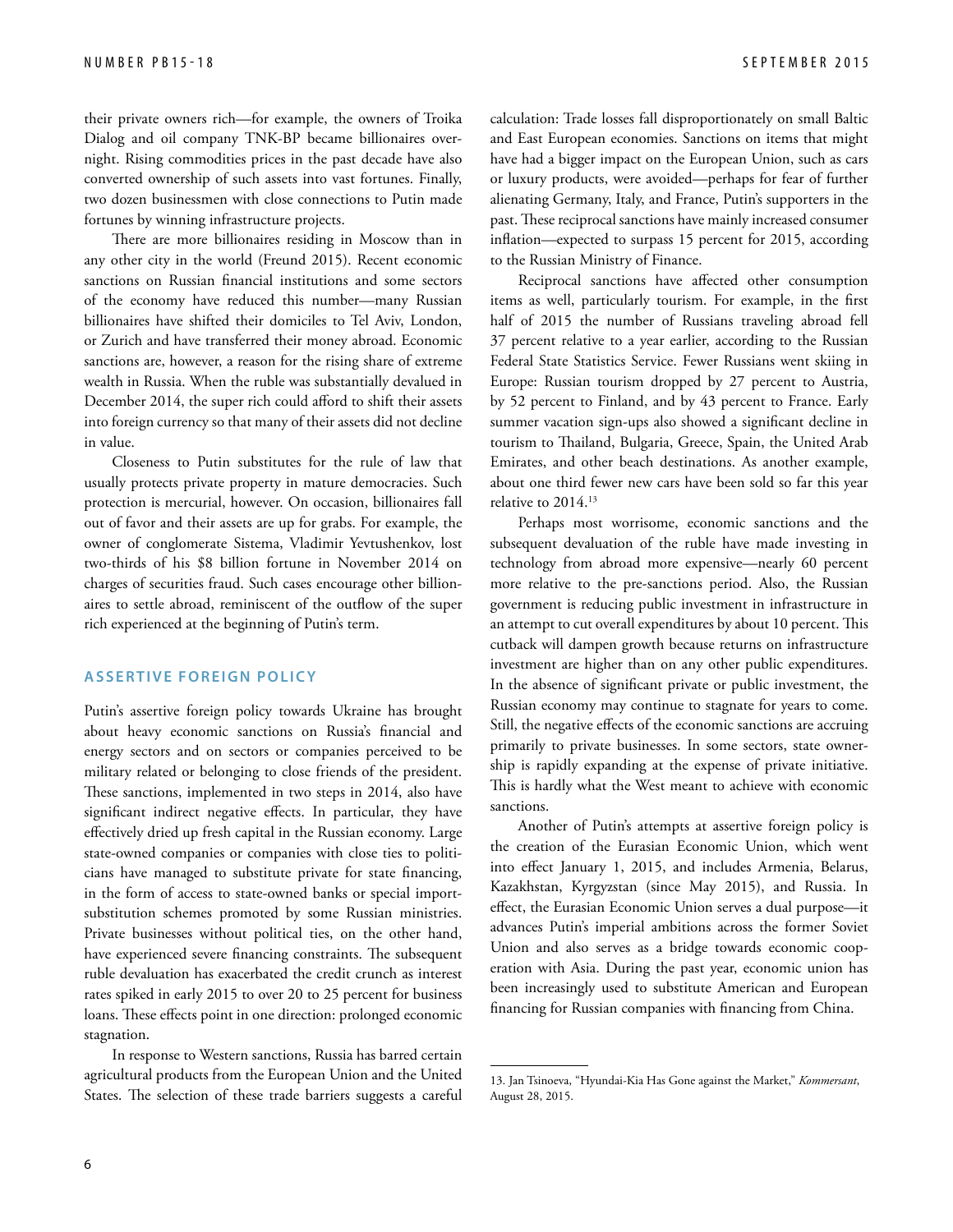their private owners rich—for example, the owners of Troika Dialog and oil company TNK-BP became billionaires overnight. Rising commodities prices in the past decade have also converted ownership of such assets into vast fortunes. Finally, two dozen businessmen with close connections to Putin made fortunes by winning infrastructure projects.

There are more billionaires residing in Moscow than in any other city in the world (Freund 2015). Recent economic sanctions on Russian financial institutions and some sectors of the economy have reduced this number—many Russian billionaires have shifted their domiciles to Tel Aviv, London, or Zurich and have transferred their money abroad. Economic sanctions are, however, a reason for the rising share of extreme wealth in Russia. When the ruble was substantially devalued in December 2014, the super rich could afford to shift their assets into foreign currency so that many of their assets did not decline in value.

Closeness to Putin substitutes for the rule of law that usually protects private property in mature democracies. Such protection is mercurial, however. On occasion, billionaires fall out of favor and their assets are up for grabs. For example, the owner of conglomerate Sistema, Vladimir Yevtushenkov, lost two-thirds of his \$8 billion fortune in November 2014 on charges of securities fraud. Such cases encourage other billionaires to settle abroad, reminiscent of the outflow of the super rich experienced at the beginning of Putin's term.

#### **Assertive Foreign Policy**

Putin's assertive foreign policy towards Ukraine has brought about heavy economic sanctions on Russia's financial and energy sectors and on sectors or companies perceived to be military related or belonging to close friends of the president. These sanctions, implemented in two steps in 2014, also have significant indirect negative effects. In particular, they have effectively dried up fresh capital in the Russian economy. Large state-owned companies or companies with close ties to politicians have managed to substitute private for state financing, in the form of access to state-owned banks or special importsubstitution schemes promoted by some Russian ministries. Private businesses without political ties, on the other hand, have experienced severe financing constraints. The subsequent ruble devaluation has exacerbated the credit crunch as interest rates spiked in early 2015 to over 20 to 25 percent for business loans. These effects point in one direction: prolonged economic stagnation.

In response to Western sanctions, Russia has barred certain agricultural products from the European Union and the United States. The selection of these trade barriers suggests a careful calculation: Trade losses fall disproportionately on small Baltic and East European economies. Sanctions on items that might have had a bigger impact on the European Union, such as cars or luxury products, were avoided—perhaps for fear of further alienating Germany, Italy, and France, Putin's supporters in the past. These reciprocal sanctions have mainly increased consumer inflation—expected to surpass 15 percent for 2015, according to the Russian Ministry of Finance.

Reciprocal sanctions have affected other consumption items as well, particularly tourism. For example, in the first half of 2015 the number of Russians traveling abroad fell 37 percent relative to a year earlier, according to the Russian Federal State Statistics Service. Fewer Russians went skiing in Europe: Russian tourism dropped by 27 percent to Austria, by 52 percent to Finland, and by 43 percent to France. Early summer vacation sign-ups also showed a significant decline in tourism to Thailand, Bulgaria, Greece, Spain, the United Arab Emirates, and other beach destinations. As another example, about one third fewer new cars have been sold so far this year relative to 2014.13

Perhaps most worrisome, economic sanctions and the subsequent devaluation of the ruble have made investing in technology from abroad more expensive—nearly 60 percent more relative to the pre-sanctions period. Also, the Russian government is reducing public investment in infrastructure in an attempt to cut overall expenditures by about 10 percent. This cutback will dampen growth because returns on infrastructure investment are higher than on any other public expenditures. In the absence of significant private or public investment, the Russian economy may continue to stagnate for years to come. Still, the negative effects of the economic sanctions are accruing primarily to private businesses. In some sectors, state ownership is rapidly expanding at the expense of private initiative. This is hardly what the West meant to achieve with economic sanctions.

Another of Putin's attempts at assertive foreign policy is the creation of the Eurasian Economic Union, which went into effect January 1, 2015, and includes Armenia, Belarus, Kazakhstan, Kyrgyzstan (since May 2015), and Russia. In effect, the Eurasian Economic Union serves a dual purpose—it advances Putin's imperial ambitions across the former Soviet Union and also serves as a bridge towards economic cooperation with Asia. During the past year, economic union has been increasingly used to substitute American and European financing for Russian companies with financing from China.

<sup>13.</sup> Jan Tsinoeva, "Hyundai-Kia Has Gone against the Market," *Kommersant*, August 28, 2015.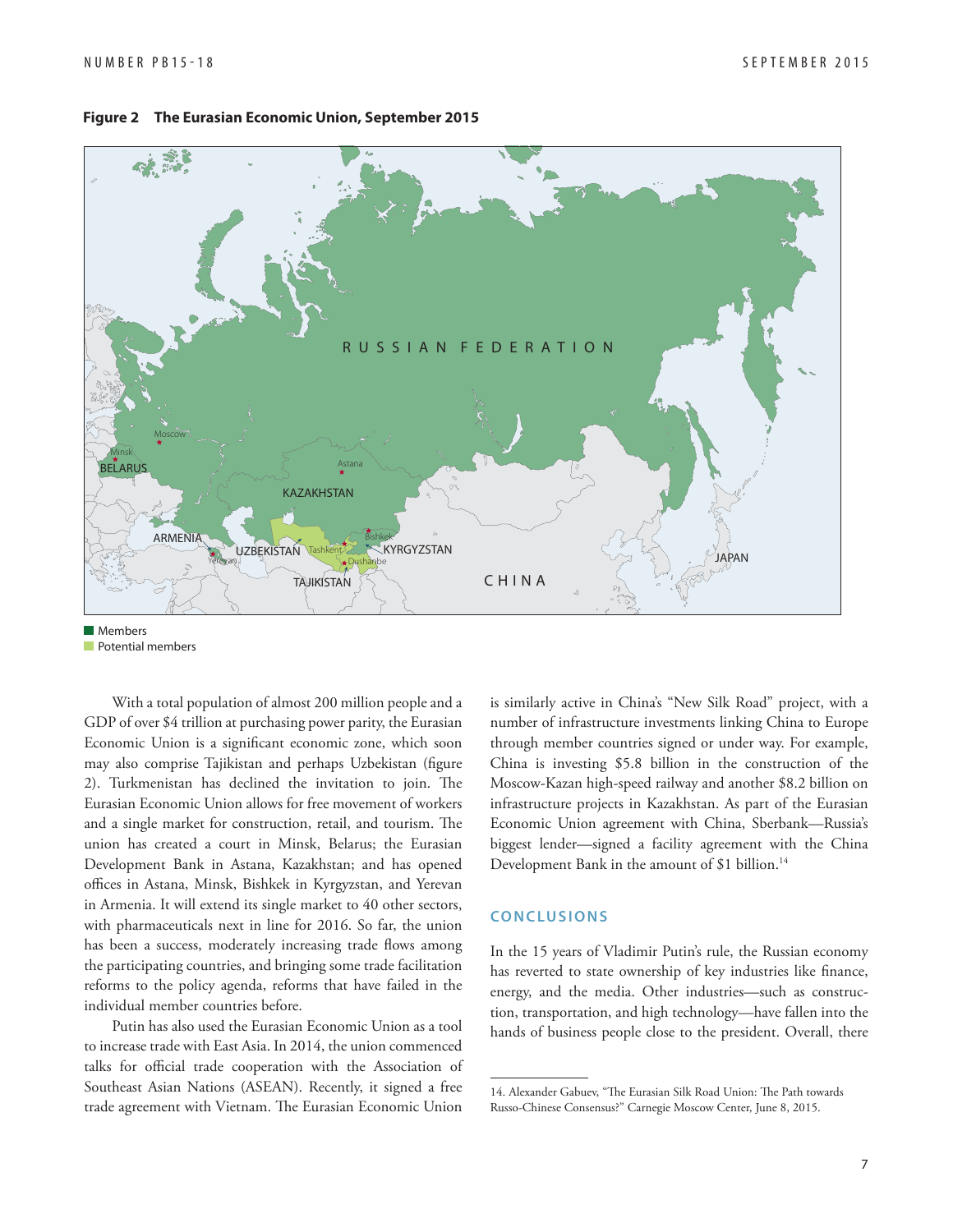

#### **Figure 2 The Eurasian Economic Union, September 2015**

**Mambers Potential members** 

With a total population of almost 200 million people and a GDP of over \$4 trillion at purchasing power parity, the Eurasian Economic Union is a significant economic zone, which soon may also comprise Tajikistan and perhaps Uzbekistan (figure 2). Turkmenistan has declined the invitation to join. The Eurasian Economic Union allows for free movement of workers and a single market for construction, retail, and tourism. The union has created a court in Minsk, Belarus; the Eurasian Development Bank in Astana, Kazakhstan; and has opened offices in Astana, Minsk, Bishkek in Kyrgyzstan, and Yerevan in Armenia. It will extend its single market to 40 other sectors, with pharmaceuticals next in line for 2016. So far, the union has been a success, moderately increasing trade flows among the participating countries, and bringing some trade facilitation reforms to the policy agenda, reforms that have failed in the individual member countries before.

Putin has also used the Eurasian Economic Union as a tool to increase trade with East Asia. In 2014, the union commenced talks for official trade cooperation with the Association of Southeast Asian Nations (ASEAN). Recently, it signed a free trade agreement with Vietnam. The Eurasian Economic Union

is similarly active in China's "New Silk Road" project, with a number of infrastructure investments linking China to Europe through member countries signed or under way. For example, China is investing \$5.8 billion in the construction of the Moscow-Kazan high-speed railway and another \$8.2 billion on infrastructure projects in Kazakhstan. As part of the Eurasian Economic Union agreement with China, Sberbank—Russia's biggest lender—signed a facility agreement with the China Development Bank in the amount of \$1 billion.<sup>14</sup>

#### **CONCLUSIONS**

In the 15 years of Vladimir Putin's rule, the Russian economy has reverted to state ownership of key industries like finance, energy, and the media. Other industries—such as construction, transportation, and high technology—have fallen into the hands of business people close to the president. Overall, there

<sup>14.</sup> Alexander Gabuev, "The Eurasian Silk Road Union: The Path towards Russo-Chinese Consensus?" Carnegie Moscow Center, June 8, 2015.